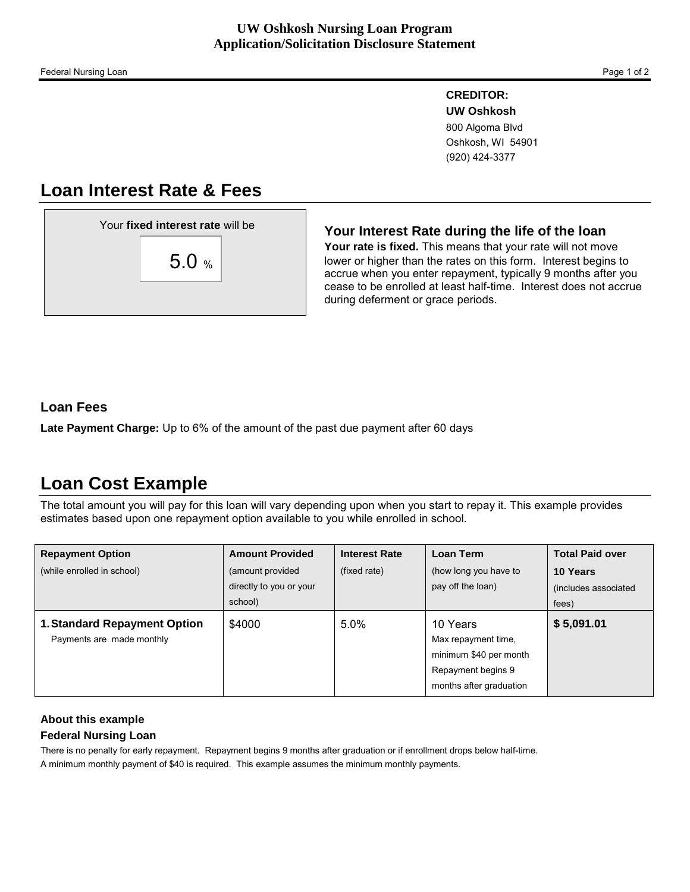### **CREDITOR:**

 **UW Oshkosh**  800 Algoma Blvd Oshkosh, WI 54901 (920) 424-3377

# **Loan Interest Rate & Fees**

### **Your Interest Rate during the life of the loan**

**Your rate is fixed.** This means that your rate will not move lower or higher than the rates on this form. Interest begins to accrue when you enter repayment, typically 9 months after you cease to be enrolled at least half-time. Interest does not accrue during deferment or grace periods.

## **Loan Fees**

**Late Payment Charge:** Up to 6% of the amount of the past due payment after 60 days

# **Loan Cost Example**

The total amount you will pay for this loan will vary depending upon when you start to repay it. This example provides estimates based upon one repayment option available to you while enrolled in school.

| <b>Repayment Option</b>                                          | <b>Amount Provided</b>                                 | <b>Interest Rate</b> | <b>Loan Term</b>                                                                                           | <b>Total Paid over</b>                    |
|------------------------------------------------------------------|--------------------------------------------------------|----------------------|------------------------------------------------------------------------------------------------------------|-------------------------------------------|
| (while enrolled in school)                                       | (amount provided<br>directly to you or your<br>school) | (fixed rate)         | (how long you have to<br>pay off the loan)                                                                 | 10 Years<br>(includes associated<br>fees) |
| <b>1. Standard Repayment Option</b><br>Payments are made monthly | \$4000                                                 | 5.0%                 | 10 Years<br>Max repayment time,<br>minimum \$40 per month<br>Repayment begins 9<br>months after graduation | \$5,091.01                                |

### **About this example**

### **Federal Nursing Loan**

There is no penalty for early repayment. Repayment begins 9 months after graduation or if enrollment drops below half-time. A minimum monthly payment of \$40 is required. This example assumes the minimum monthly payments.